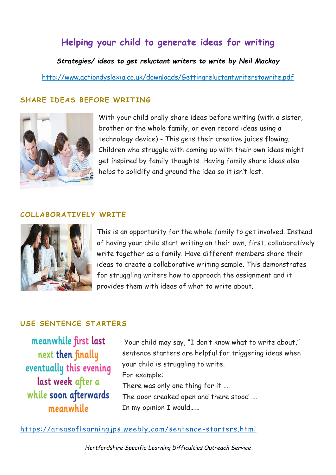# **Helping your child to generate ideas for writing**

*Strategies/ ideas to get reluctant writers to write by Neil Mackay*

<http://www.actiondyslexia.co.uk/downloads/Gettingreluctantwriterstowrite.pdf>

## **SHARE IDEAS BEFORE WRITING**



With your child orally share ideas before writing (with a sister, brother or the whole family, or even record ideas using a technology device) - This gets their creative juices flowing. Children who struggle with coming up with their own ideas might get inspired by family thoughts. Having family share ideas also helps to solidify and ground the idea so it isn't lost.

#### **COLLABORATIVELY WRITE**



This is an opportunity for the whole family to get involved. Instead of having your child start writing on their own, first, collaboratively write together as a family. Have different members share their ideas to create a collaborative writing sample. This demonstrates for struggling writers how to approach the assignment and it provides them with ideas of what to write about.

## **USE SENTENCE STARTERS**

meanwhile first last next then finally eventually this evening last week after a while soon afterwards meanwhile

Your child may say, "I don't know what to write about," sentence starters are helpful for triggering ideas when your child is struggling to write. For example: There was only one thing for it .... The door creaked open and there stood …. In my opinion I would……

[https://areasoflearningjps.weebly.com/sentence](https://areasoflearningjps.weebly.com/sentence-starters.html) -starters.html

*Hertfordshire Specific Learning Difficulties Outreach Service*